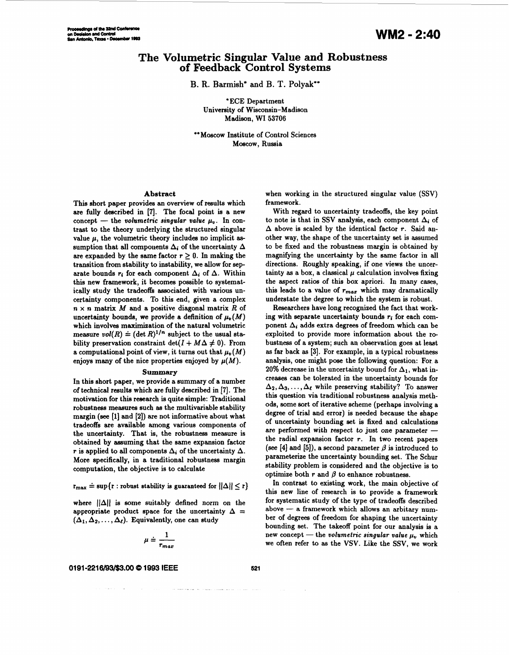# **The Volumetric Singular Value and Robustness of Feedback Control Systems**

**B.** R. Barmish" **and** B. T. Polyak\*\*

\* ECE Department University of Wisconsin-Madison Madison, WI **53706** 

\*\*MOSCOW Institute of Control Sciences MOSCOW, Russia

### Abstract

This short paper provides an overview of results which are fully described in **[7].** The focal point is a new concept - the *volumetric singular value*  $\mu_v$ . In contrast to the theory underlying the structured singular value  $\mu$ , the volumetric theory includes no implicit assumption that all components  $\Delta_i$  of the uncertainty  $\Delta$ are expanded by the same factor  $r > 0$ . In making the transition from stability to instability, we allow for separate bounds  $r_i$  for each component  $\Delta_i$  of  $\Delta$ . Within this new framework, it becomes possible to systematically study the tradeoffs associated with various uncertainty components. To this end, given a complex  $n \times n$  matrix *M* and a positive diagonal matrix *R* of uncertainty bounds, we provide a definition of  $\mu_v(M)$ which involves maximization of the natural volumetric measure  $vol(R) \doteq (det R)^{1/n}$  subject to the usual stability preservation constraint  $\det(I + M\Delta \neq 0)$ . From a computational point of view, it turns out that  $\mu_n(M)$ enjoys many of the nice properties enjoyed by  $\mu(M)$ .

## **Summary**

In this short paper, we provide a summary of a number of technical results which are fully described in **[7].** The motivation for this research is quite simple: Traditional robustness measures such **as** the multivariable stability margin (see **[l]** and **[2])** are not informative about what tradeoffs are available among various components of the uncertainty. That is, the robustness measure is obtained by assuming that the same expansion factor *r* is applied to all components  $\Delta_i$  of the uncertainty  $\Delta$ . More specifically, in a traditional robustness margin computation, the objective is to calculate

 $r_{\text{max}} \doteq \sup\{r : \text{robust stability is guaranteed for } ||\Delta|| \leq r\}$ 

where  $||\Delta||$  is some suitably defined norm on the appropriate product space for the uncertainty  $\Delta =$  $(\Delta_1, \Delta_2, \ldots, \Delta_\ell)$ . Equivalently, one can study

$$
\mu \doteq \frac{1}{r_{max}}
$$

# 0191-2216/93/\$3.00 @ 1993 IEEE

when working in the structured singular value (SSV) framework .

With regard to uncertainty tradeoffs, the key point to note is that in SSV analysis, each component  $\Delta_i$  of  $\Delta$  above is scaled by the identical factor **r**. Said another way, the shape of the uncertainty set is assumed to be fixed and the robustness margin is obtained by magnifying the uncertainty by the same factor in all directions. Roughly speaking, if one views the uncertainty as a box, a classical  $\mu$  calculation involves fixing the aspect ratios of this box apriori. In many cases, this leads to a value of **rmoz** which may dramatically understate the degree to which the system is robust.

Researchers have long recognized the fact that working with separate uncertainty bounds  $r_i$  for each component  $\Delta_i$  adds extra degrees of freedom which can be exploited to provide more information about the robustness of a system; such an observation goes at least **as** far back **as [3].** For example, in a typical robustness analysis, one might pose the following question: For a 20% decrease in the uncertainty bound for  $\Delta_1$ , what increases can be tolerated in the uncertainty bounds for  $\Delta_2, \Delta_3, \ldots, \Delta_\ell$  while preserving stability? To answer this question via traditional robustness analysis methods, some sort of iterative scheme (perhaps involving a degree of trial and error) is needed because the shape degree of trial and error) is needed because the shape<br>of uncertainty bounding set is fixed and calculations<br>are performed with respect to just one parameter the radial expansion factor **r.** In two recent papers (see [4] and [5]), a second parameter  $\beta$  is introduced to parameterize the uncertainty bounding set. The Schur stability problem is considered and the objective is to optimize both  $r$  and  $\beta$  to enhance robustness.

In contrast to existing work, the main objective **of**  this new line of research is to provide a framework for systematic study of the type of tradeoffs described this new line of research is to provide a framework<br>for systematic study of the type of tradeoffs described<br>above -- a framework which allows an arbitary number of degrees of freedom for shaping the uncertainty bounding set. The takeoff point for our analysis is a new concept  $-$  the *volumetric singular value*  $\mu$ <sub>v</sub> which we often refer to **as** the VSV. Like the **SSV,** we work

**521**